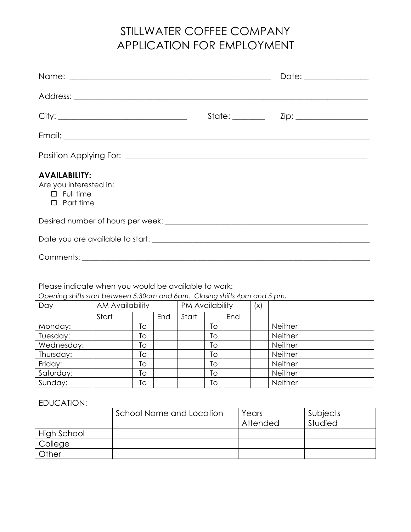## STILLWATER COFFEE COMPANY APPLICATION FOR EMPLOYMENT

|                                                                                        | Date: _______________ |
|----------------------------------------------------------------------------------------|-----------------------|
|                                                                                        |                       |
|                                                                                        |                       |
|                                                                                        |                       |
|                                                                                        |                       |
| <b>AVAILABILITY:</b><br>Are you interested in:<br>$\Box$ Full time<br>$\Box$ Part time |                       |
|                                                                                        |                       |
|                                                                                        |                       |
|                                                                                        |                       |

Please indicate when you would be available to work:

*Opening shifts start between 5:30am and 6am. Closing shifts 4pm and 5 pm.*

| Day        | <b>AM Availability</b> |    |     | PM Availability |    | (x) |  |         |
|------------|------------------------|----|-----|-----------------|----|-----|--|---------|
|            | Start                  |    | End | Start           |    | End |  |         |
| Monday:    |                        | Tо |     |                 | To |     |  | Neither |
| Tuesday:   |                        | To |     |                 | Тo |     |  | Neither |
| Wednesday: |                        | Tо |     |                 | To |     |  | Neither |
| Thursday:  |                        | Tо |     |                 | Tо |     |  | Neither |
| Friday:    |                        | To |     |                 | Тo |     |  | Neither |
| Saturday:  |                        | To |     |                 | Тo |     |  | Neither |
| Sunday:    |                        | To |     |                 | Тo |     |  | Neither |

EDUCATION:

|             | School Name and Location | Years<br>Attended | l Subjects<br>Studied |
|-------------|--------------------------|-------------------|-----------------------|
| High School |                          |                   |                       |
| College     |                          |                   |                       |
| Other       |                          |                   |                       |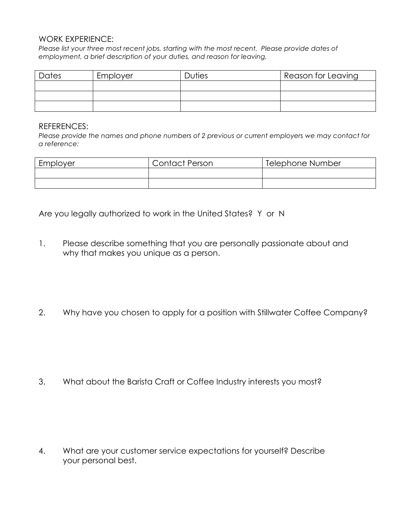## WORK EXPERIENCE:

*Please list your three most recent jobs, starting with the most recent. Please provide dates of employment, a brief description of your duties, and reason for leaving.*

| Dates | Employer | Duties | Reason for Leaving |
|-------|----------|--------|--------------------|
|       |          |        |                    |
|       |          |        |                    |
|       |          |        |                    |

## REFERENCES:

*Please provide the names and phone numbers of 2 previous or current employers we may contact for a reference:*

| Employer | <b>Contact Person</b> | Telephone Number |
|----------|-----------------------|------------------|
|          |                       |                  |
|          |                       |                  |

Are you legally authorized to work in the United States? Y or N

- 1. Please describe something that you are personally passionate about and why that makes you unique as a person.
- 2. Why have you chosen to apply for a position with Stillwater Coffee Company?

3. What about the Barista Craft or Coffee Industry interests you most?

4. What are your customer service expectations for yourself? Describe your personal best.